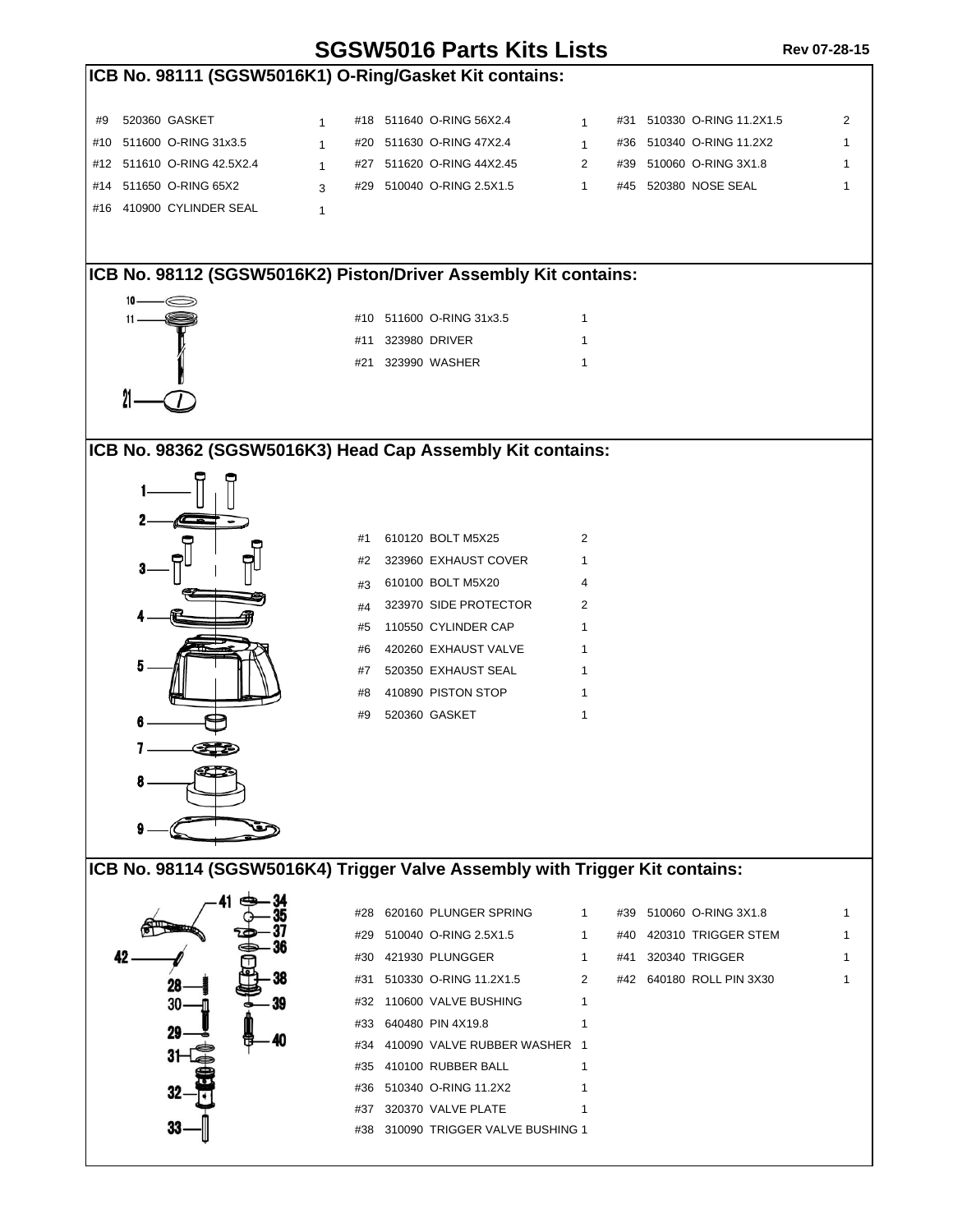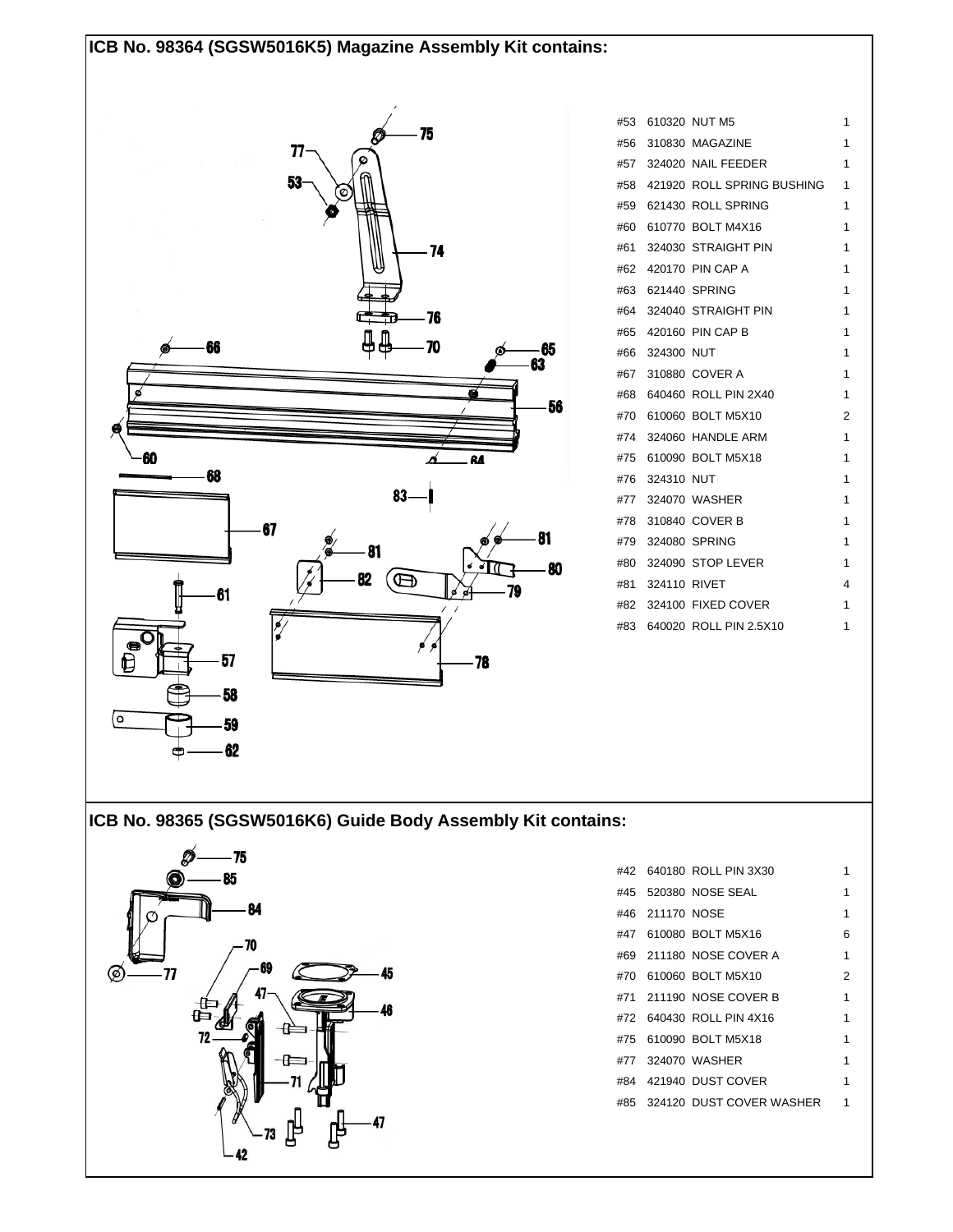## **ICB No. 98364 (SGSW5016K5) Magazine Assembly Kit contains:**



|  |                  | #53 610320 NUT M5              | 1 |
|--|------------------|--------------------------------|---|
|  |                  | #56 310830 MAGAZINE            | 1 |
|  |                  | #57 324020 NAIL FEEDER         | 1 |
|  |                  | #58 421920 ROLL SPRING BUSHING | 1 |
|  |                  | #59 621430 ROLL SPRING         | 1 |
|  |                  | #60 610770 BOLT M4X16          | 1 |
|  |                  | #61 324030 STRAIGHT PIN        | 1 |
|  |                  | #62 420170 PIN CAP A           | 1 |
|  |                  | #63 621440 SPRING              | 1 |
|  |                  | #64 324040 STRAIGHT PIN        | 1 |
|  |                  | #65 420160 PIN CAP B           | 1 |
|  | #66 324300 NUT   |                                | 1 |
|  |                  | #67 310880 COVER A             | 1 |
|  |                  | #68 640460 ROLL PIN 2X40       | 1 |
|  |                  | #70 610060 BOLT M5X10          | 2 |
|  |                  | #74 324060 HANDLE ARM          | 1 |
|  |                  | #75 610090 BOLT M5X18          | 1 |
|  | #76 324310 NUT   |                                | 1 |
|  |                  | #77 324070 WASHER              | 1 |
|  |                  | #78 310840 COVER B             | 1 |
|  |                  | #79 324080 SPRING              | 1 |
|  |                  | #80 324090 STOP LEVER          | 1 |
|  | #81 324110 RIVET |                                | 4 |
|  |                  | #82 324100 FIXED COVER         | 1 |
|  |                  | #83 640020 ROLL PIN 2.5X10     | 1 |

## **ICB No. 98365 (SGSW5016K6) Guide Body Assembly Kit contains:**



|  |                 | #42 640180 ROLL PIN 3X30     |   |
|--|-----------------|------------------------------|---|
|  |                 | #45 520380 NOSE SEAL         | 1 |
|  | #46 211170 NOSE |                              | 1 |
|  |                 | #47 610080 BOLT M5X16        | ี |
|  |                 | #69 211180 NOSE COVER A      | 1 |
|  |                 | #70 610060 BOLT M5X10        | 2 |
|  |                 |                              | 1 |
|  |                 | #72 640430 ROLL PIN 4X16     | 1 |
|  |                 | #75 610090 BOLT M5X18        | 1 |
|  |                 | #77 324070 WASHER            | 1 |
|  |                 | #84 421940 DUST COVER        | 1 |
|  |                 | #85 324120 DUST COVER WASHER |   |
|  |                 |                              |   |